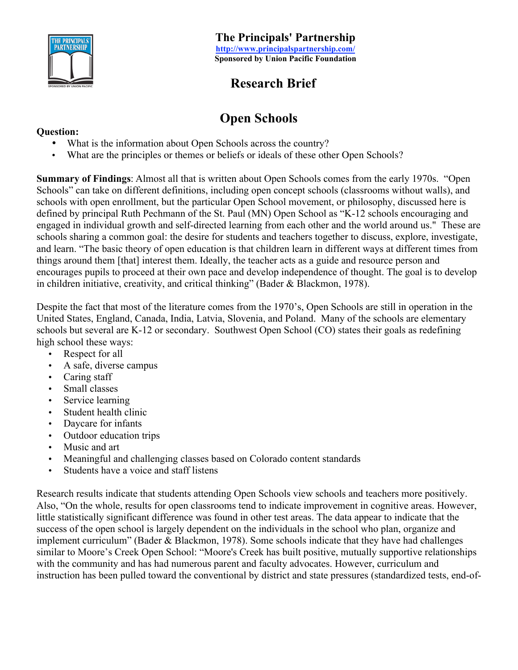

# **Research Brief**

# **Open Schools**

What is the information about Open Schools across the country? What are the principles or themes or beliefs or ideals of these other Open Schools?

**Summary of Findings**: Almost all that is written about Open Schools comes from the early 1970s. "Open Schools" can take on different definitions, including open concept schools (classrooms without walls), and schools with open enrollment, but the particular Open School movement, or philosophy, discussed here is defined by principal Ruth Pechmann of the St. Paul (MN) Open School as "K-12 schools encouraging and engaged in individual growth and self-directed learning from each other and the world around us." These are schools sharing a common goal: the desire for students and teachers together to discuss, explore, investigate, and learn. "The basic theory of open education is that children learn in different ways at different times from things around them [that] interest them. Ideally, the teacher acts as a guide and resource person and encourages pupils to proceed at their own pace and develop independence of thought. The goal is to develop in children initiative, creativity, and critical thinking" (Bader & Blackmon, 1978).

Despite the fact that most of the literature comes from the 1970's, Open Schools are still in operation in the United States, England, Canada, India, Latvia, Slovenia, and Poland. Many of the schools are elementary schools but several are K-12 or secondary. Southwest Open School (CO) states their goals as redefining high school these ways:

Respect for all A safe, diverse campus Caring staff Small classes Service learning Student health clinic Daycare for infants Outdoor education trips Music and art Meaningful and challenging classes based on Colorado content standards Students have a voice and staff listens

Research results indicate that students attending Open Schools view schools and teachers more positively. Also, "On the whole, results for open classrooms tend to indicate improvement in cognitive areas. However, little statistically significant difference was found in other test areas. The data appear to indicate that the success of the open school is largely dependent on the individuals in the school who plan, organize and implement curriculum" (Bader & Blackmon, 1978). Some schools indicate that they have had challenges similar to Moore's Creek Open School: "Moore's Creek has built positive, mutually supportive relationships with the community and has had numerous parent and faculty advocates. However, curriculum and instruction has been pulled toward the conventional by district and state pressures (standardized tests, end-of-

### **Question:**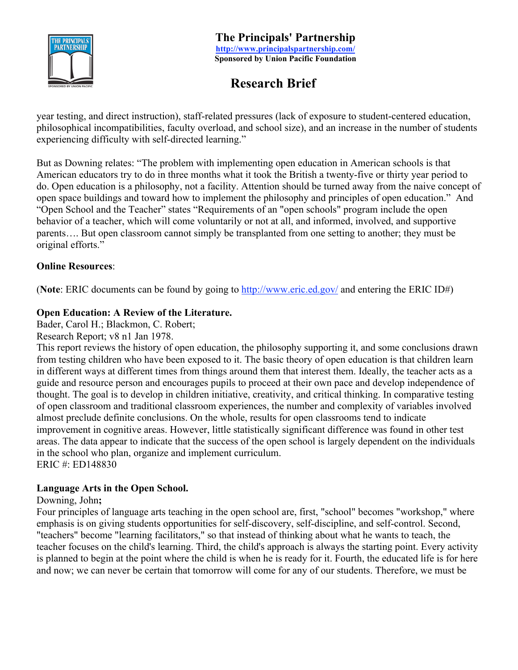

# **Research Brief**

year testing, and direct instruction), staff-related pressures (lack of exposure to student-centered education, philosophical incompatibilities, faculty overload, and school size), and an increase in the number of students experiencing difficulty with self-directed learning."

But as Downing relates: "The problem with implementing open education in American schools is that American educators try to do in three months what it took the British a twenty-five or thirty year period to do. Open education is a philosophy, not a facility. Attention should be turned away from the naive concept of open space buildings and toward how to implement the philosophy and principles of open education." And "Open School and the Teacher" states "Requirements of an "open schools" program include the open behavior of a teacher, which will come voluntarily or not at all, and informed, involved, and supportive parents…. But open classroom cannot simply be transplanted from one setting to another; they must be original efforts."

### **Online Resources**:

(**Note**: ERIC documents can be found by going to http://www.eric.ed.gov/ and entering the ERIC ID#)

### **Open Education: A Review of the Literature.**

Bader, Carol H.; Blackmon, C. Robert;

Research Report; v8 n1 Jan 1978.

This report reviews the history of open education, the philosophy supporting it, and some conclusions drawn from testing children who have been exposed to it. The basic theory of open education is that children learn in different ways at different times from things around them that interest them. Ideally, the teacher acts as a guide and resource person and encourages pupils to proceed at their own pace and develop independence of thought. The goal is to develop in children initiative, creativity, and critical thinking. In comparative testing of open classroom and traditional classroom experiences, the number and complexity of variables involved almost preclude definite conclusions. On the whole, results for open classrooms tend to indicate improvement in cognitive areas. However, little statistically significant difference was found in other test areas. The data appear to indicate that the success of the open school is largely dependent on the individuals in the school who plan, organize and implement curriculum. ERIC #: ED148830

### **Language Arts in the Open School.**

### Downing, John**;**

Four principles of language arts teaching in the open school are, first, "school" becomes "workshop," where emphasis is on giving students opportunities for self-discovery, self-discipline, and self-control. Second, "teachers" become "learning facilitators," so that instead of thinking about what he wants to teach, the teacher focuses on the child's learning. Third, the child's approach is always the starting point. Every activity is planned to begin at the point where the child is when he is ready for it. Fourth, the educated life is for here and now; we can never be certain that tomorrow will come for any of our students. Therefore, we must be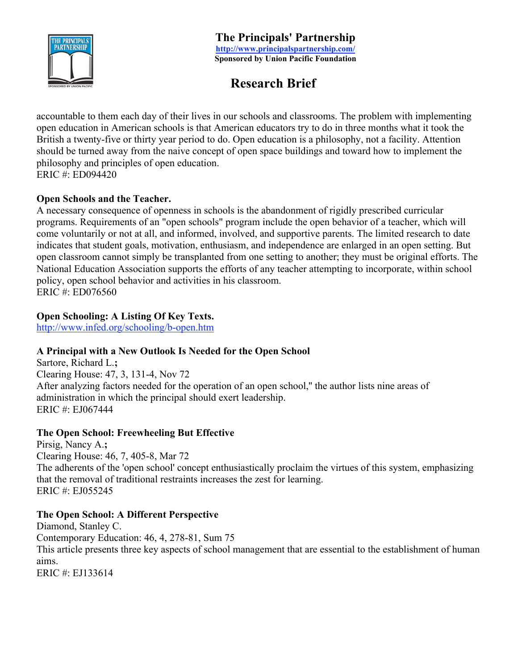

# **Research Brief**

accountable to them each day of their lives in our schools and classrooms. The problem with implementing open education in American schools is that American educators try to do in three months what it took the British a twenty-five or thirty year period to do. Open education is a philosophy, not a facility. Attention should be turned away from the naive concept of open space buildings and toward how to implement the philosophy and principles of open education. ERIC #: ED094420

### **Open Schools and the Teacher.**

A necessary consequence of openness in schools is the abandonment of rigidly prescribed curricular programs. Requirements of an "open schools" program include the open behavior of a teacher, which will come voluntarily or not at all, and informed, involved, and supportive parents. The limited research to date indicates that student goals, motivation, enthusiasm, and independence are enlarged in an open setting. But open classroom cannot simply be transplanted from one setting to another; they must be original efforts. The National Education Association supports the efforts of any teacher attempting to incorporate, within school policy, open school behavior and activities in his classroom. ERIC #: ED076560

### **Open Schooling: A Listing Of Key Texts.**

http://www.infed.org/schooling/b-open.htm

# **A Principal with a New Outlook Is Needed for the Open School**

Sartore, Richard L.**;**  Clearing House: 47, 3, 131-4, Nov 72 After analyzing factors needed for the operation of an open school,'' the author lists nine areas of administration in which the principal should exert leadership. ERIC #: EJ067444

### **The Open School: Freewheeling But Effective**

Pirsig, Nancy A.**;**  Clearing House: 46, 7, 405-8, Mar 72 The adherents of the 'open school' concept enthusiastically proclaim the virtues of this system, emphasizing that the removal of traditional restraints increases the zest for learning. ERIC #: EJ055245

# **The Open School: A Different Perspective**

Diamond, Stanley C. Contemporary Education: 46, 4, 278-81, Sum 75 This article presents three key aspects of school management that are essential to the establishment of human aims. ERIC #: EJ133614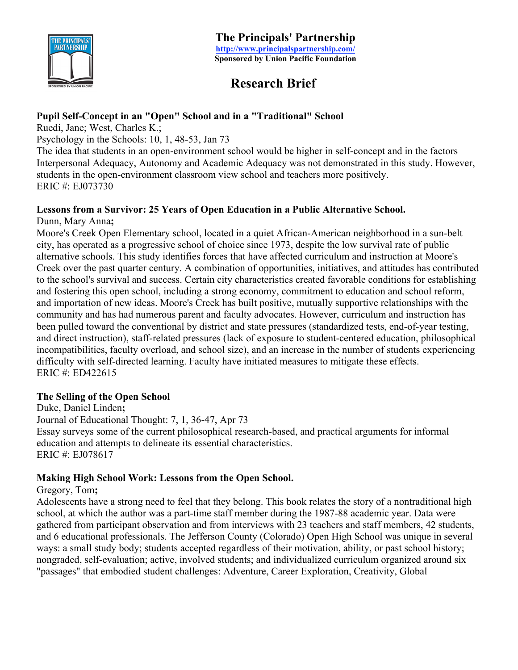

# **Research Brief**

### **Pupil Self-Concept in an "Open" School and in a "Traditional" School**

Ruedi, Jane; West, Charles K.;

Psychology in the Schools: 10, 1, 48-53, Jan 73

The idea that students in an open-environment school would be higher in self-concept and in the factors Interpersonal Adequacy, Autonomy and Academic Adequacy was not demonstrated in this study. However, students in the open-environment classroom view school and teachers more positively. ERIC #: EJ073730

### **Lessons from a Survivor: 25 Years of Open Education in a Public Alternative School.**

Dunn, Mary Anna**;** 

Moore's Creek Open Elementary school, located in a quiet African-American neighborhood in a sun-belt city, has operated as a progressive school of choice since 1973, despite the low survival rate of public alternative schools. This study identifies forces that have affected curriculum and instruction at Moore's Creek over the past quarter century. A combination of opportunities, initiatives, and attitudes has contributed to the school's survival and success. Certain city characteristics created favorable conditions for establishing and fostering this open school, including a strong economy, commitment to education and school reform, and importation of new ideas. Moore's Creek has built positive, mutually supportive relationships with the community and has had numerous parent and faculty advocates. However, curriculum and instruction has been pulled toward the conventional by district and state pressures (standardized tests, end-of-year testing, and direct instruction), staff-related pressures (lack of exposure to student-centered education, philosophical incompatibilities, faculty overload, and school size), and an increase in the number of students experiencing difficulty with self-directed learning. Faculty have initiated measures to mitigate these effects. ERIC #: ED422615

### **The Selling of the Open School**

Duke, Daniel Linden**;**  Journal of Educational Thought: 7, 1, 36-47, Apr 73 Essay surveys some of the current philosophical research-based, and practical arguments for informal education and attempts to delineate its essential characteristics. ERIC #: EJ078617

### **Making High School Work: Lessons from the Open School.**

Gregory, Tom**;** 

Adolescents have a strong need to feel that they belong. This book relates the story of a nontraditional high school, at which the author was a part-time staff member during the 1987-88 academic year. Data were gathered from participant observation and from interviews with 23 teachers and staff members, 42 students, and 6 educational professionals. The Jefferson County (Colorado) Open High School was unique in several ways: a small study body; students accepted regardless of their motivation, ability, or past school history; nongraded, self-evaluation; active, involved students; and individualized curriculum organized around six "passages" that embodied student challenges: Adventure, Career Exploration, Creativity, Global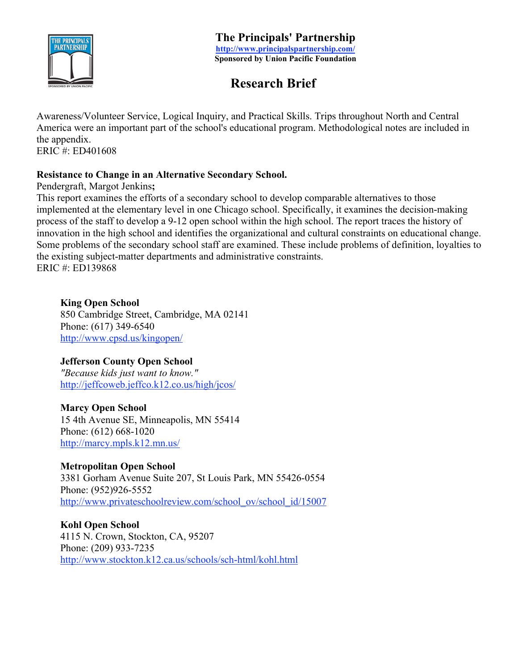

# **Research Brief**

Awareness/Volunteer Service, Logical Inquiry, and Practical Skills. Trips throughout North and Central America were an important part of the school's educational program. Methodological notes are included in the appendix.

ERIC #: ED401608

# **Resistance to Change in an Alternative Secondary School.**

Pendergraft, Margot Jenkins**;** 

This report examines the efforts of a secondary school to develop comparable alternatives to those implemented at the elementary level in one Chicago school. Specifically, it examines the decision-making process of the staff to develop a 9-12 open school within the high school. The report traces the history of innovation in the high school and identifies the organizational and cultural constraints on educational change. Some problems of the secondary school staff are examined. These include problems of definition, loyalties to the existing subject-matter departments and administrative constraints. ERIC #: ED139868

### **King Open School**

850 Cambridge Street, Cambridge, MA 02141 Phone: (617) 349-6540 http://www.cpsd.us/kingopen/

# **Jefferson County Open School**

*"Because kids just want to know."* http://jeffcoweb.jeffco.k12.co.us/high/jcos/

# **Marcy Open School**

15 4th Avenue SE, Minneapolis, MN 55414 Phone: (612) 668-1020 http://marcy.mpls.k12.mn.us/

### **Metropolitan Open School**

3381 Gorham Avenue Suite 207, St Louis Park, MN 55426-0554 Phone: (952)926-5552 http://www.privateschoolreview.com/school\_ov/school\_id/15007

**Kohl Open School** 4115 N. Crown, Stockton, CA, 95207 Phone: (209) 933-7235 http://www.stockton.k12.ca.us/schools/sch-html/kohl.html